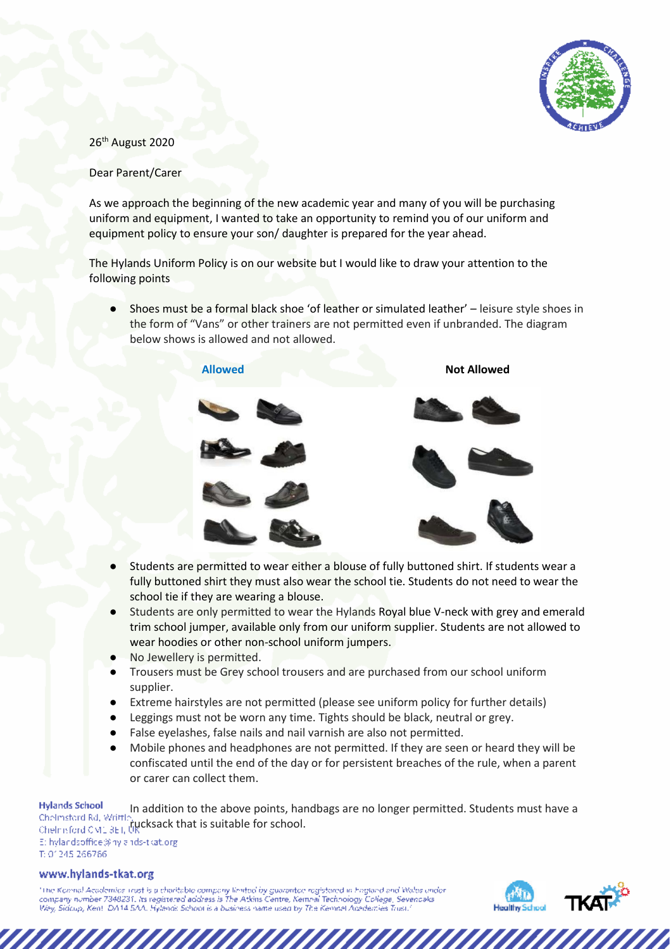

## 26<sup>th</sup> August 2020

## Dear Parent/Carer

As we approach the beginning of the new academic year and many of you will be purchasing uniform and equipment, I wanted to take an opportunity to remind you of our uniform and equipment policy to ensure your son/ daughter is prepared for the year ahead.

The Hylands Uniform Policy is on our website but I would like to draw your attention to the following points

● Shoes must be a formal black shoe 'of leather or simulated leather' – leisure style shoes in the form of "Vans" or other trainers are not permitted even if unbranded. The diagram below shows is allowed and not allowed.



- Students are permitted to wear either a blouse of fully buttoned shirt. If students wear a fully buttoned shirt they must also wear the school tie. Students do not need to wear the school tie if they are wearing a blouse.
- Students are only permitted to wear the Hylands Royal blue V-neck with grey and emerald trim school jumper, available only from our uniform supplier. Students are not allowed to wear hoodies or other non-school uniform jumpers.
- **No Jewellery is permitted.**
- Trousers must be Grey school trousers and are purchased from our school uniform supplier.
- Extreme hairstyles are not permitted (please see uniform policy for further details)
- Leggings must not be worn any time. Tights should be black, neutral or grey.
- False eyelashes, false nails and nail varnish are also not permitted.
- Mobile phones and headphones are not permitted. If they are seen or heard they will be confiscated until the end of the day or for persistent breaches of the rule, when a parent or carer can collect them.

**Hylands School** In addition to the above points, handbags are no longer permitted. Students must have a Chelmstord Rd, Writtley **audition to the above points, han**<br>Chelmsford CM1 3ET, the charge of school. Et hylandsoffice@hylands-tkat.org T: 01245 266766

## www.hylands-tkat.org

"The Koninal Academics Trust is a charitable company limited by guarantee registered in Frigiand and Wales under<br>company number 7348231, its registered address is The Atkins Centre, Kennal Technology College, Sevenceles<br>We

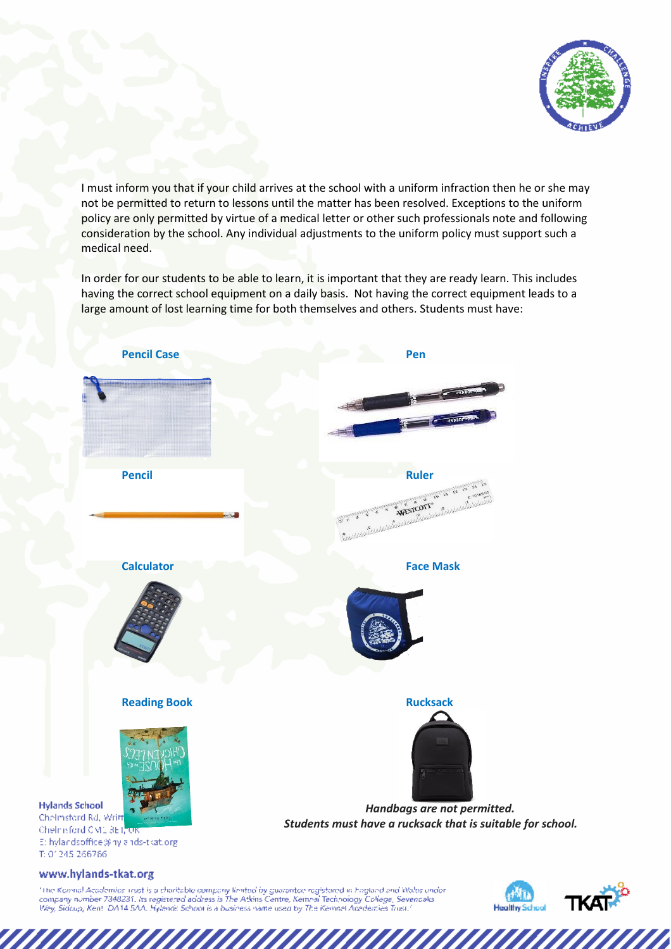

I must inform you that if your child arrives at the school with a uniform infraction then he or she may not be permitted to return to lessons until the matter has been resolved. Exceptions to the uniform policy are only permitted by virtue of a medical letter or other such professionals note and following consideration by the school. Any individual adjustments to the uniform policy must support such a medical need.

In order for our students to be able to learn, it is important that they are ready learn. This includes having the correct school equipment on a daily basis. Not having the correct equipment leads to a large amount of lost learning time for both themselves and others. Students must have:



"The Koninal Academics Trust is a charitable company limited by guarantee registered in Frigiand and Wales under<br>company number 7348231, its registered address is The Atkins Centre, Kennal Technology College, Sevenceles<br>We